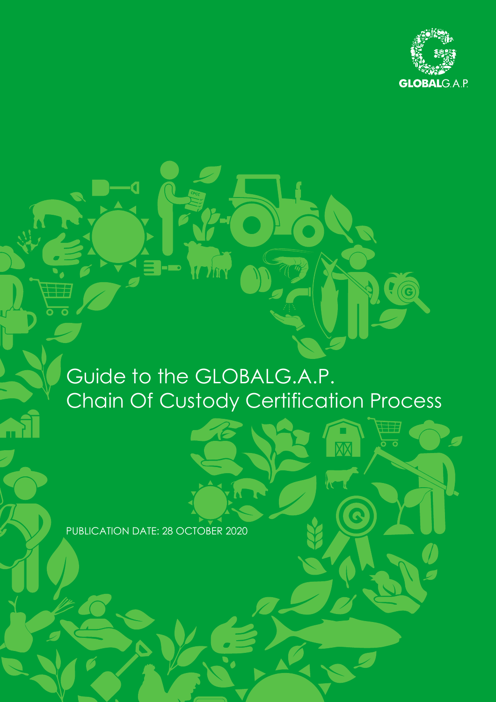

 $\int$ 

# Guide to the GLOBALG.A.P. Chain Of Custody Certification Process

PUBLICATION DATE: 28 OCTOBER 2020

3 - D

 $\blacksquare$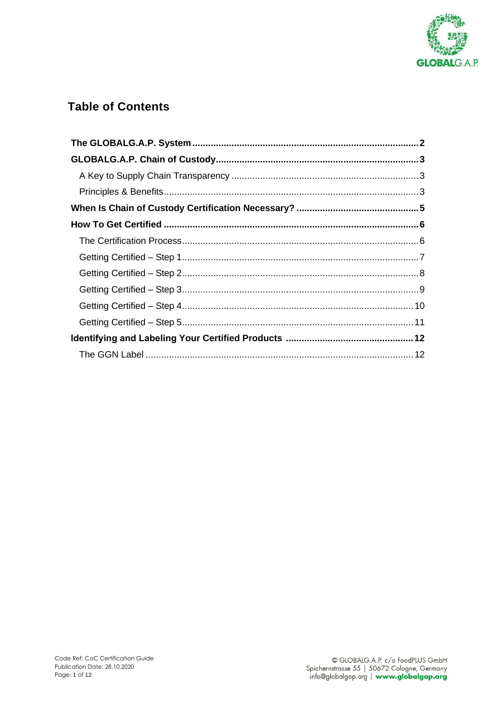

# **Table of Contents**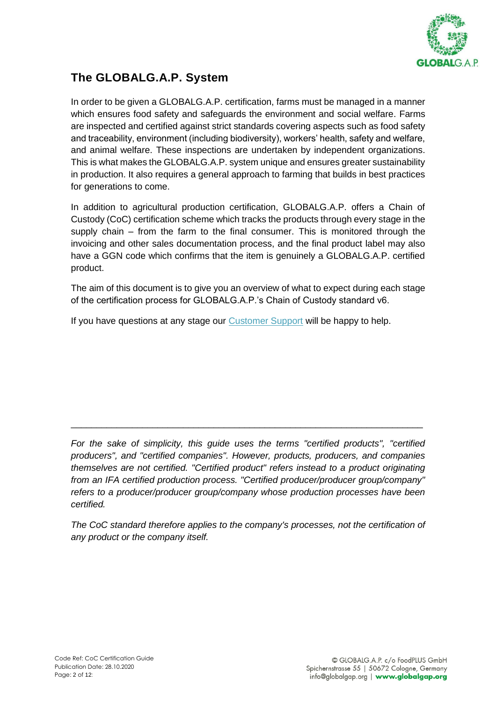

# <span id="page-2-0"></span>**The GLOBALG.A.P. System**

In order to be given a GLOBALG.A.P. certification, farms must be managed in a manner which ensures food safety and safeguards the environment and social welfare. Farms are inspected and certified against strict standards covering aspects such as food safety and traceability, environment (including biodiversity), workers' health, safety and welfare, and animal welfare. These inspections are undertaken by independent organizations. This is what makes the GLOBALG.A.P. system unique and ensures greater sustainability in production. It also requires a general approach to farming that builds in best practices for generations to come.

In addition to agricultural production certification, GLOBALG.A.P. offers a Chain of Custody (CoC) certification scheme which tracks the products through every stage in the supply chain – from the farm to the final consumer. This is monitored through the invoicing and other sales documentation process, and the final product label may also have a GGN code which confirms that the item is genuinely a GLOBALG.A.P. certified product.

The aim of this document is to give you an overview of what to expect during each stage of the certification process for GLOBALG.A.P.'s Chain of Custody standard v6.

If you have questions at any stage our **Customer Support** will be happy to help.

*For the sake of simplicity, this guide uses the terms "certified products", "certified producers", and "certified companies". However, products, producers, and companies themselves are not certified. "Certified product" refers instead to a product originating from an IFA certified production process. "Certified producer/producer group/company" refers to a producer/producer group/company whose production processes have been certified.* 

\_\_\_\_\_\_\_\_\_\_\_\_\_\_\_\_\_\_\_\_\_\_\_\_\_\_\_\_\_\_\_\_\_\_\_\_\_\_\_\_\_\_\_\_\_\_\_\_\_\_\_\_\_\_\_\_\_\_\_\_\_\_\_\_\_\_\_\_\_

*The CoC standard therefore applies to the company's processes, not the certification of any product or the company itself.*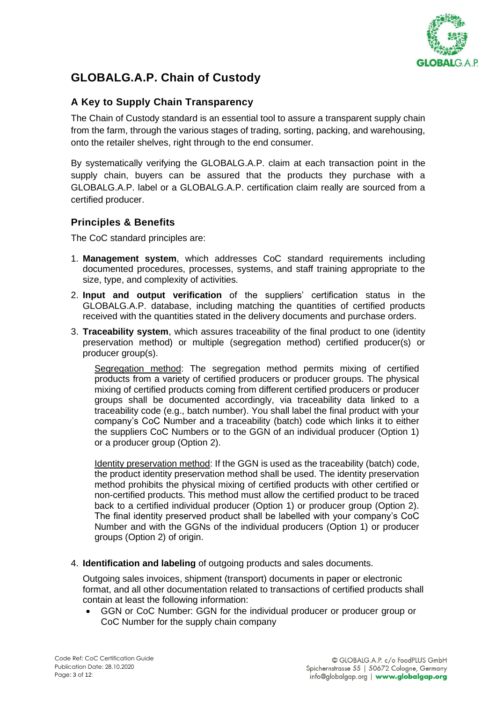

# <span id="page-3-0"></span>**GLOBALG.A.P. Chain of Custody**

## <span id="page-3-1"></span>**A Key to Supply Chain Transparency**

The Chain of Custody standard is an essential tool to assure a transparent supply chain from the farm, through the various stages of trading, sorting, packing, and warehousing, onto the retailer shelves, right through to the end consumer.

By systematically verifying the GLOBALG.A.P. claim at each transaction point in the supply chain, buyers can be assured that the products they purchase with a GLOBALG.A.P. label or a GLOBALG.A.P. certification claim really are sourced from a certified producer.

## <span id="page-3-2"></span>**Principles & Benefits**

The CoC standard principles are:

- 1. **Management system**, which addresses CoC standard requirements including documented procedures, processes, systems, and staff training appropriate to the size, type, and complexity of activities.
- 2. **Input and output verification** of the suppliers' certification status in the GLOBALG.A.P. database, including matching the quantities of certified products received with the quantities stated in the delivery documents and purchase orders.
- 3. **Traceability system**, which assures traceability of the final product to one (identity preservation method) or multiple (segregation method) certified producer(s) or producer group(s).

Segregation method: The segregation method permits mixing of certified products from a variety of certified producers or producer groups. The physical mixing of certified products coming from different certified producers or producer groups shall be documented accordingly, via traceability data linked to a traceability code (e.g., batch number). You shall label the final product with your company's CoC Number and a traceability (batch) code which links it to either the suppliers CoC Numbers or to the GGN of an individual producer (Option 1) or a producer group (Option 2).

Identity preservation method: If the GGN is used as the traceability (batch) code, the product identity preservation method shall be used. The identity preservation method prohibits the physical mixing of certified products with other certified or non-certified products. This method must allow the certified product to be traced back to a certified individual producer (Option 1) or producer group (Option 2). The final identity preserved product shall be labelled with your company's CoC Number and with the GGNs of the individual producers (Option 1) or producer groups (Option 2) of origin.

4. **Identification and labeling** of outgoing products and sales documents.

Outgoing sales invoices, shipment (transport) documents in paper or electronic format, and all other documentation related to transactions of certified products shall contain at least the following information:

• GGN or CoC Number: GGN for the individual producer or producer group or CoC Number for the supply chain company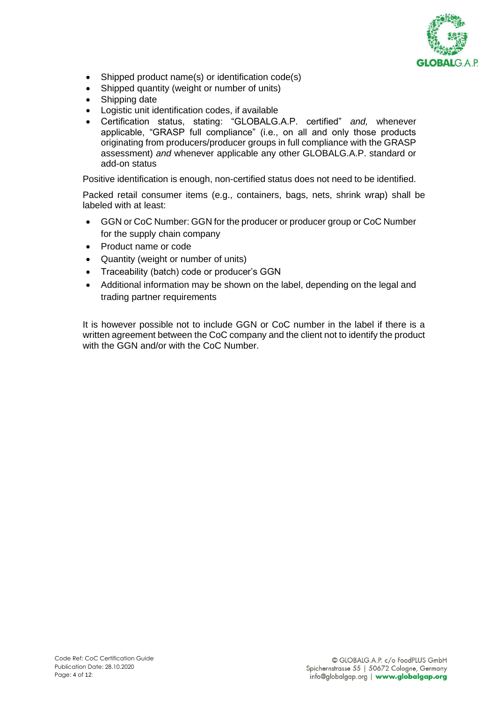

- Shipped product name(s) or identification code(s)
- Shipped quantity (weight or number of units)
- Shipping date
- Logistic unit identification codes, if available
- Certification status, stating: "GLOBALG.A.P. certified" *and,* whenever applicable, "GRASP full compliance" (i.e., on all and only those products originating from producers/producer groups in full compliance with the GRASP assessment) *and* whenever applicable any other GLOBALG.A.P. standard or add-on status

Positive identification is enough, non-certified status does not need to be identified.

Packed retail consumer items (e.g., containers, bags, nets, shrink wrap) shall be labeled with at least:

- GGN or CoC Number: GGN for the producer or producer group or CoC Number for the supply chain company
- Product name or code
- Quantity (weight or number of units)
- Traceability (batch) code or producer's GGN
- Additional information may be shown on the label, depending on the legal and trading partner requirements

It is however possible not to include GGN or CoC number in the label if there is a written agreement between the CoC company and the client not to identify the product with the GGN and/or with the CoC Number.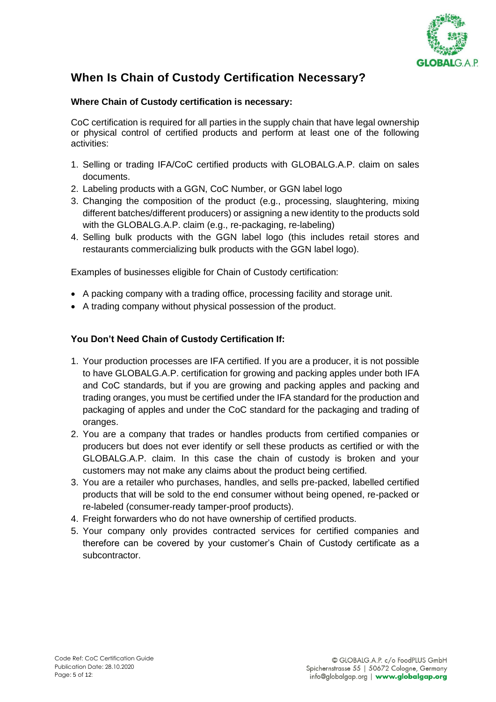

# <span id="page-5-0"></span>**When Is Chain of Custody Certification Necessary?**

## **Where Chain of Custody certification is necessary:**

CoC certification is required for all parties in the supply chain that have legal ownership or physical control of certified products and perform at least one of the following activities:

- 1. Selling or trading IFA/CoC certified products with GLOBALG.A.P. claim on sales documents.
- 2. Labeling products with a GGN, CoC Number, or GGN label logo
- 3. Changing the composition of the product (e.g., processing, slaughtering, mixing different batches/different producers) or assigning a new identity to the products sold with the GLOBALG.A.P. claim (e.g., re-packaging, re-labeling)
- 4. Selling bulk products with the GGN label logo (this includes retail stores and restaurants commercializing bulk products with the GGN label logo).

Examples of businesses eligible for Chain of Custody certification:

- A packing company with a trading office, processing facility and storage unit.
- A trading company without physical possession of the product.

## **You Don't Need Chain of Custody Certification If:**

- 1. Your production processes are IFA certified. If you are a producer, it is not possible to have GLOBALG.A.P. certification for growing and packing apples under both IFA and CoC standards, but if you are growing and packing apples and packing and trading oranges, you must be certified under the IFA standard for the production and packaging of apples and under the CoC standard for the packaging and trading of oranges.
- 2. You are a company that trades or handles products from certified companies or producers but does not ever identify or sell these products as certified or with the GLOBALG.A.P. claim. In this case the chain of custody is broken and your customers may not make any claims about the product being certified.
- 3. You are a retailer who purchases, handles, and sells pre-packed, labelled certified products that will be sold to the end consumer without being opened, re-packed or re-labeled (consumer-ready tamper-proof products).
- 4. Freight forwarders who do not have ownership of certified products.
- 5. Your company only provides contracted services for certified companies and therefore can be covered by your customer's Chain of Custody certificate as a subcontractor.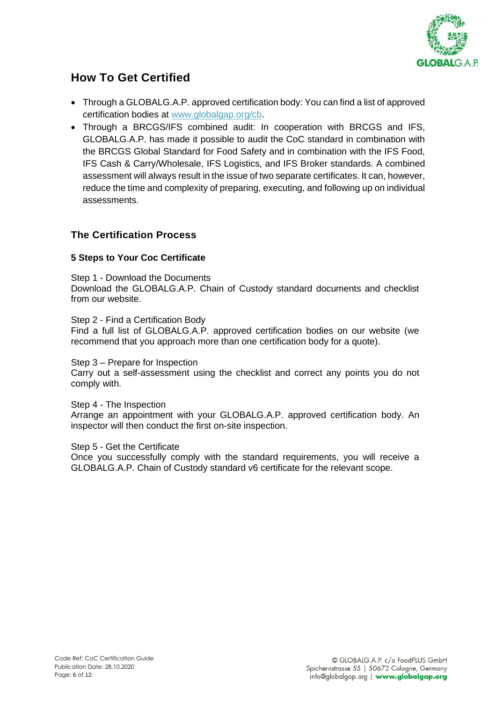

## <span id="page-6-0"></span>**How To Get Certified**

- Through a GLOBALG.A.P. approved certification body: You can find a list of approved certification bodies at [www.globalgap.org/cb.](https://globalgap-my.sharepoint.com/personal/stollenwerk_globalgap_org/Documents/Microsoft%20Teams-Chatdateien/www.globalgap.org/cb)
- Through a BRCGS/IFS combined audit: In cooperation with BRCGS and IFS, GLOBALG.A.P. has made it possible to audit the CoC standard in combination with the BRCGS Global Standard for Food Safety and in combination with the IFS Food, IFS Cash & Carry/Wholesale, IFS Logistics, and IFS Broker standards. A combined assessment will always result in the issue of two separate certificates. It can, however, reduce the time and complexity of preparing, executing, and following up on individual assessments.

## <span id="page-6-1"></span>**The Certification Process**

## **[5 Steps](https://www.globalgap.org/uk_en/what-we-do/globalg.a.p.-certification/five-steps-to-get-certified/index.html) to Your Coc Certificate**

Step 1 - Download the Documents

Download the GLOBALG.A.P. Chain of Custody standard documents and checklist from our website.

Step 2 - Find a Certification Body Find a full list of GLOBALG.A.P. approved certification bodies on our website (we recommend that you approach more than one certification body for a quote).

Step 3 – Prepare for Inspection

Carry out a self-assessment using the checklist and correct any points you do not comply with.

Step 4 - The Inspection Arrange an appointment with your GLOBALG.A.P. approved certification body. An inspector will then conduct the first on-site inspection.

Step 5 - Get the Certificate Once you successfully comply with the standard requirements, you will receive a GLOBALG.A.P. Chain of Custody standard v6 certificate for the relevant scope.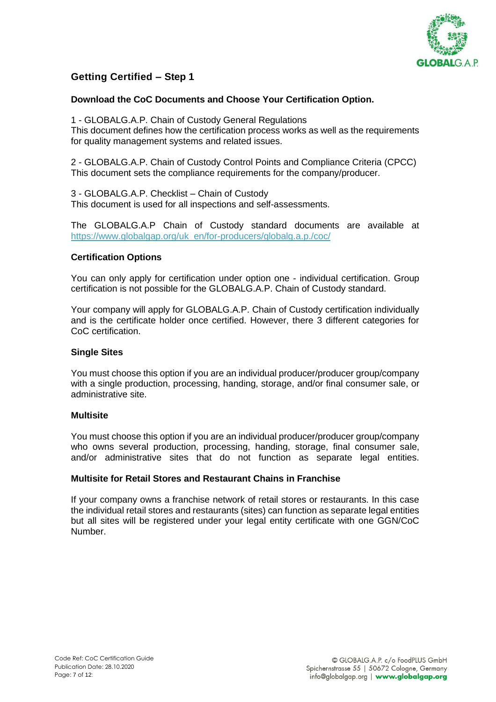

#### <span id="page-7-0"></span>**Download the CoC Documents and Choose Your Certification Option.**

1 - GLOBALG.A.P. Chain of Custody General Regulations This document defines how the certification process works as well as the requirements for quality management systems and related issues.

2 - GLOBALG.A.P. Chain of Custody Control Points and Compliance Criteria (CPCC) This document sets the compliance requirements for the company/producer.

3 - GLOBALG.A.P. Checklist – Chain of Custody This document is used for all inspections and self-assessments.

The GLOBALG.A.P Chain of Custody standard documents are available at [https://www.globalgap.org/uk\\_en/for-producers/globalg.a.p./coc/](https://www.globalgap.org/uk_en/for-producers/globalg.a.p./coc/)

## **Certification Options**

You can only apply for certification under option one - individual certification. Group certification is not possible for the GLOBALG.A.P. Chain of Custody standard.

Your company will apply for GLOBALG.A.P. Chain of Custody certification individually and is the certificate holder once certified. However, there 3 different categories for CoC certification.

#### **Single Sites**

You must choose this option if you are an individual producer/producer group/company with a single production, processing, handing, storage, and/or final consumer sale, or administrative site.

#### **Multisite**

You must choose this option if you are an individual producer/producer group/company who owns several production, processing, handing, storage, final consumer sale, and/or administrative sites that do not function as separate legal entities.

## **Multisite for Retail Stores and Restaurant Chains in Franchise**

If your company owns a franchise network of retail stores or restaurants. In this case the individual retail stores and restaurants (sites) can function as separate legal entities but all sites will be registered under your legal entity certificate with one GGN/CoC Number.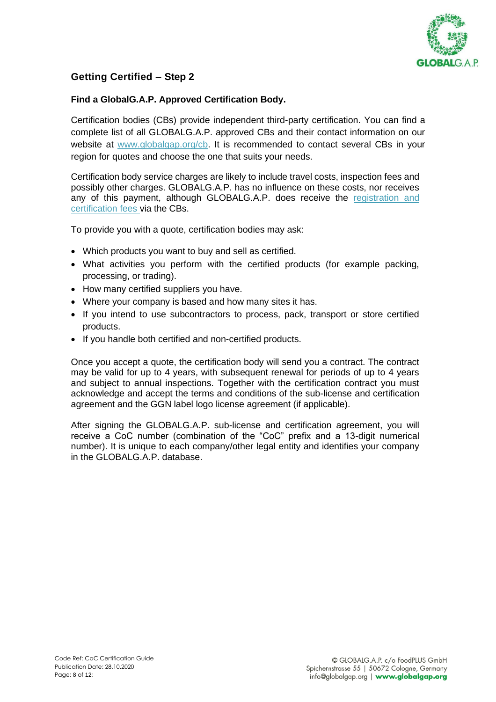

## <span id="page-8-0"></span>**Find a GlobalG.A.P. Approved Certification Body.**

Certification bodies (CBs) provide independent third-party certification. You can find a complete list of all GLOBALG.A.P. approved CBs and their contact information on our website at [www.globalgap.org/cb.](http://www.globalgap.org/cb) It is recommended to contact several CBs in your region for quotes and choose the one that suits your needs.

Certification body service charges are likely to include travel costs, inspection fees and possibly other charges. GLOBALG.A.P. has no influence on these costs, nor receives any of this payment, although GLOBALG.A.P. does receive the [registration and](https://www.globalgap.org/uk_en/documents/#fq=gg.subscope:(%22fruit%22)&fq=con_locales:(%22en%22)&fq=gg.document.type:(%22checklist%22+OR+%22regulations%22+OR+%22cpacc%22)&fq=gg.standard.gg:(%22ifa5%22))  [certification fees](https://www.globalgap.org/uk_en/documents/#fq=gg.subscope:(%22fruit%22)&fq=con_locales:(%22en%22)&fq=gg.document.type:(%22checklist%22+OR+%22regulations%22+OR+%22cpacc%22)&fq=gg.standard.gg:(%22ifa5%22)) via the CBs.

To provide you with a quote, certification bodies may ask:

- Which products you want to buy and sell as certified.
- What activities you perform with the certified products (for example packing, processing, or trading).
- How many certified suppliers you have.
- Where your company is based and how many sites it has.
- If you intend to use subcontractors to process, pack, transport or store certified products.
- If you handle both certified and non-certified products.

Once you accept a quote, the certification body will send you a contract. The contract may be valid for up to 4 years, with subsequent renewal for periods of up to 4 years and subject to annual inspections. Together with the certification contract you must acknowledge and accept the terms and conditions of the sub-license and certification agreement and the GGN label logo license agreement (if applicable).

After signing the GLOBALG.A.P. sub-license and certification agreement, you will receive a CoC number (combination of the "CoC" prefix and a 13-digit numerical number). It is unique to each company/other legal entity and identifies your company in the GLOBALG.A.P. database.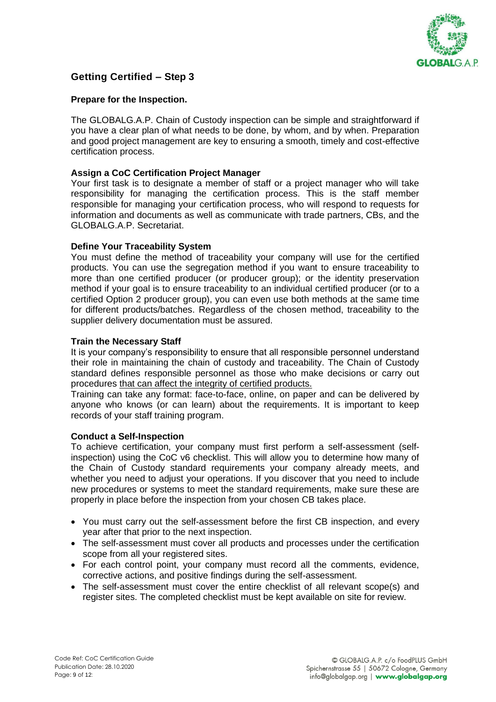

#### <span id="page-9-0"></span>**Prepare for the Inspection.**

The GLOBALG.A.P. Chain of Custody inspection can be simple and straightforward if you have a clear plan of what needs to be done, by whom, and by when. Preparation and good project management are key to ensuring a smooth, timely and cost-effective certification process.

#### **Assign a CoC Certification Project Manager**

Your first task is to designate a member of staff or a project manager who will take responsibility for managing the certification process. This is the staff member responsible for managing your certification process, who will respond to requests for information and documents as well as communicate with trade partners, CBs, and the GLOBALG.A.P. Secretariat.

#### **Define Your Traceability System**

You must define the method of traceability your company will use for the certified products. You can use the segregation method if you want to ensure traceability to more than one certified producer (or producer group); or the identity preservation method if your goal is to ensure traceability to an individual certified producer (or to a certified Option 2 producer group), you can even use both methods at the same time for different products/batches. Regardless of the chosen method, traceability to the supplier delivery documentation must be assured.

#### **Train the Necessary Staff**

It is your company's responsibility to ensure that all responsible personnel understand their role in maintaining the chain of custody and traceability. The Chain of Custody standard defines responsible personnel as those who make decisions or carry out procedures that can affect the integrity of certified products.

Training can take any format: face-to-face, online, on paper and can be delivered by anyone who knows (or can learn) about the requirements. It is important to keep records of your staff training program.

#### **Conduct a Self-Inspection**

To achieve certification, your company must first perform a self-assessment (selfinspection) using the CoC v6 checklist. This will allow you to determine how many of the Chain of Custody standard requirements your company already meets, and whether you need to adjust your operations. If you discover that you need to include new procedures or systems to meet the standard requirements, make sure these are properly in place before the inspection from your chosen CB takes place.

- You must carry out the self-assessment before the first CB inspection, and every year after that prior to the next inspection.
- The self-assessment must cover all products and processes under the certification scope from all your registered sites.
- For each control point, your company must record all the comments, evidence, corrective actions, and positive findings during the self-assessment.
- The self-assessment must cover the entire checklist of all relevant scope(s) and register sites. The completed checklist must be kept available on site for review.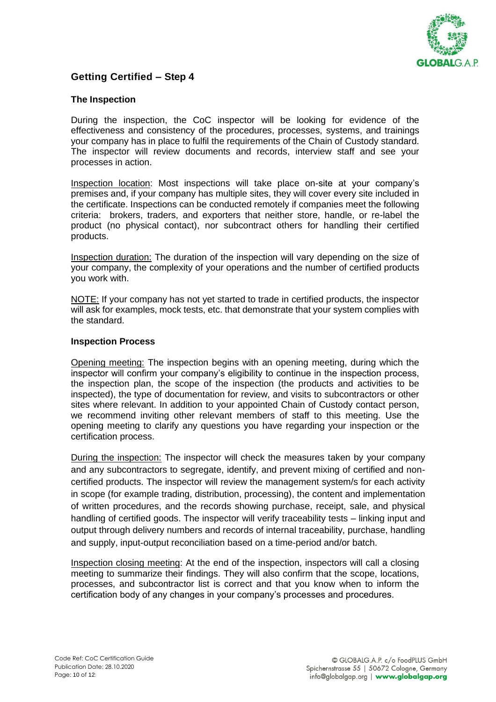

## <span id="page-10-0"></span>**The Inspection**

During the inspection, the CoC inspector will be looking for evidence of the effectiveness and consistency of the procedures, processes, systems, and trainings your company has in place to fulfil the requirements of the Chain of Custody standard. The inspector will review documents and records, interview staff and see your processes in action.

Inspection location: Most inspections will take place on-site at your company's premises and, if your company has multiple sites, they will cover every site included in the certificate. Inspections can be conducted remotely if companies meet the following criteria: brokers, traders, and exporters that neither store, handle, or re-label the product (no physical contact), nor subcontract others for handling their certified products.

Inspection duration: The duration of the inspection will vary depending on the size of your company, the complexity of your operations and the number of certified products you work with.

NOTE: If your company has not yet started to trade in certified products, the inspector will ask for examples, mock tests, etc. that demonstrate that your system complies with the standard.

#### **Inspection Process**

Opening meeting: The inspection begins with an opening meeting, during which the inspector will confirm your company's eligibility to continue in the inspection process, the inspection plan, the scope of the inspection (the products and activities to be inspected), the type of documentation for review, and visits to subcontractors or other sites where relevant. In addition to your appointed Chain of Custody contact person, we recommend inviting other relevant members of staff to this meeting. Use the opening meeting to clarify any questions you have regarding your inspection or the certification process.

During the inspection: The inspector will check the measures taken by your company and any subcontractors to segregate, identify, and prevent mixing of certified and noncertified products. The inspector will review the management system/s for each activity in scope (for example trading, distribution, processing), the content and implementation of written procedures, and the records showing purchase, receipt, sale, and physical handling of certified goods. The inspector will verify traceability tests – linking input and output through delivery numbers and records of internal traceability, purchase, handling and supply, input-output reconciliation based on a time-period and/or batch.

Inspection closing meeting: At the end of the inspection, inspectors will call a closing meeting to summarize their findings. They will also confirm that the scope, locations, processes, and subcontractor list is correct and that you know when to inform the certification body of any changes in your company's processes and procedures.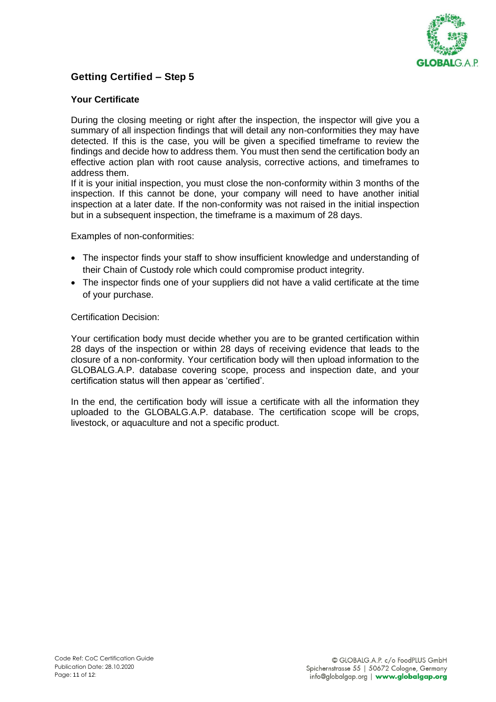

## <span id="page-11-0"></span>**Your Certificate**

During the closing meeting or right after the inspection, the inspector will give you a summary of all inspection findings that will detail any non-conformities they may have detected. If this is the case, you will be given a specified timeframe to review the findings and decide how to address them. You must then send the certification body an effective action plan with root cause analysis, corrective actions, and timeframes to address them.

If it is your initial inspection, you must close the non-conformity within 3 months of the inspection. If this cannot be done, your company will need to have another initial inspection at a later date. If the non-conformity was not raised in the initial inspection but in a subsequent inspection, the timeframe is a maximum of 28 days.

Examples of non-conformities:

- The inspector finds your staff to show insufficient knowledge and understanding of their Chain of Custody role which could compromise product integrity.
- The inspector finds one of your suppliers did not have a valid certificate at the time of your purchase.

Certification Decision:

Your certification body must decide whether you are to be granted certification within 28 days of the inspection or within 28 days of receiving evidence that leads to the closure of a non-conformity. Your certification body will then upload information to the GLOBALG.A.P. database covering scope, process and inspection date, and your certification status will then appear as 'certified'.

In the end, the certification body will issue a certificate with all the information they uploaded to the GLOBALG.A.P. database. The certification scope will be crops, livestock, or aquaculture and not a specific product.